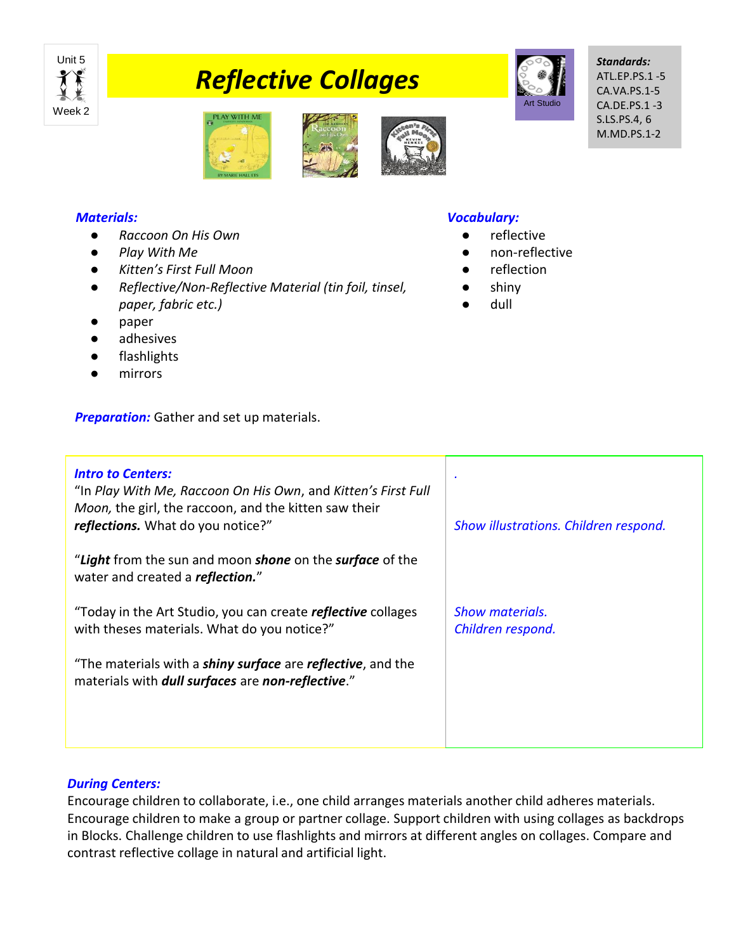

# *Reflective Collages*



*Standards:* ATL.EP.PS.1 -5 CA.VA.PS.1-5 CA.DE.PS.1 -3 S.LS.PS.4, 6 M.MD.PS.1-2



# *Materials:*

- *Raccoon On His Own*
- *Play With Me*
- *Kitten's First Full Moon*
- *Reflective/Non-Reflective Material (tin foil, tinsel, paper, fabric etc.)*
- paper
- adhesives
- flashlights
- mirrors

**Preparation:** Gather and set up materials.

### *Vocabulary:*

- reflective
- non-reflective
- reflection
- shiny
- dull

| <b>Intro to Centers:</b><br>"In Play With Me, Raccoon On His Own, and Kitten's First Full<br>Moon, the girl, the raccoon, and the kitten saw their<br>reflections. What do you notice?" | Show illustrations. Children respond. |
|-----------------------------------------------------------------------------------------------------------------------------------------------------------------------------------------|---------------------------------------|
| "Light from the sun and moon shone on the surface of the<br>water and created a reflection."                                                                                            |                                       |
| "Today in the Art Studio, you can create <i>reflective</i> collages<br>with theses materials. What do you notice?"                                                                      | Show materials.<br>Children respond.  |
| "The materials with a <i>shiny surface</i> are <i>reflective</i> , and the<br>materials with <i>dull surfaces</i> are non-reflective."                                                  |                                       |

## *During Centers:*

Encourage children to collaborate, i.e., one child arranges materials another child adheres materials. Encourage children to make a group or partner collage. Support children with using collages as backdrops in Blocks. Challenge children to use flashlights and mirrors at different angles on collages. Compare and contrast reflective collage in natural and artificial light.